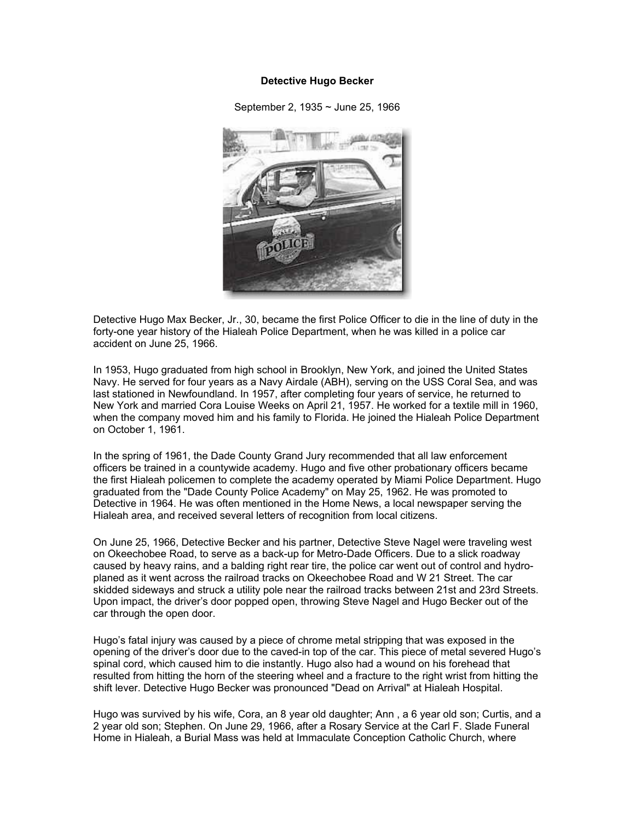## **Detective Hugo Becker**

September 2, 1935 ~ June 25, 1966



Detective Hugo Max Becker, Jr., 30, became the first Police Officer to die in the line of duty in the forty-one year history of the Hialeah Police Department, when he was killed in a police car accident on June 25, 1966.

In 1953, Hugo graduated from high school in Brooklyn, New York, and joined the United States Navy. He served for four years as a Navy Airdale (ABH), serving on the USS Coral Sea, and was last stationed in Newfoundland. In 1957, after completing four years of service, he returned to New York and married Cora Louise Weeks on April 21, 1957. He worked for a textile mill in 1960, when the company moved him and his family to Florida. He joined the Hialeah Police Department on October 1, 1961.

In the spring of 1961, the Dade County Grand Jury recommended that all law enforcement officers be trained in a countywide academy. Hugo and five other probationary officers became the first Hialeah policemen to complete the academy operated by Miami Police Department. Hugo graduated from the "Dade County Police Academy" on May 25, 1962. He was promoted to Detective in 1964. He was often mentioned in the Home News, a local newspaper serving the Hialeah area, and received several letters of recognition from local citizens.

On June 25, 1966, Detective Becker and his partner, Detective Steve Nagel were traveling west on Okeechobee Road, to serve as a back-up for Metro-Dade Officers. Due to a slick roadway caused by heavy rains, and a balding right rear tire, the police car went out of control and hydroplaned as it went across the railroad tracks on Okeechobee Road and W 21 Street. The car skidded sideways and struck a utility pole near the railroad tracks between 21st and 23rd Streets. Upon impact, the driver's door popped open, throwing Steve Nagel and Hugo Becker out of the car through the open door.

Hugo's fatal injury was caused by a piece of chrome metal stripping that was exposed in the opening of the driver's door due to the caved-in top of the car. This piece of metal severed Hugo's spinal cord, which caused him to die instantly. Hugo also had a wound on his forehead that resulted from hitting the horn of the steering wheel and a fracture to the right wrist from hitting the shift lever. Detective Hugo Becker was pronounced "Dead on Arrival" at Hialeah Hospital.

Hugo was survived by his wife, Cora, an 8 year old daughter; Ann , a 6 year old son; Curtis, and a 2 year old son; Stephen. On June 29, 1966, after a Rosary Service at the Carl F. Slade Funeral Home in Hialeah, a Burial Mass was held at Immaculate Conception Catholic Church, where